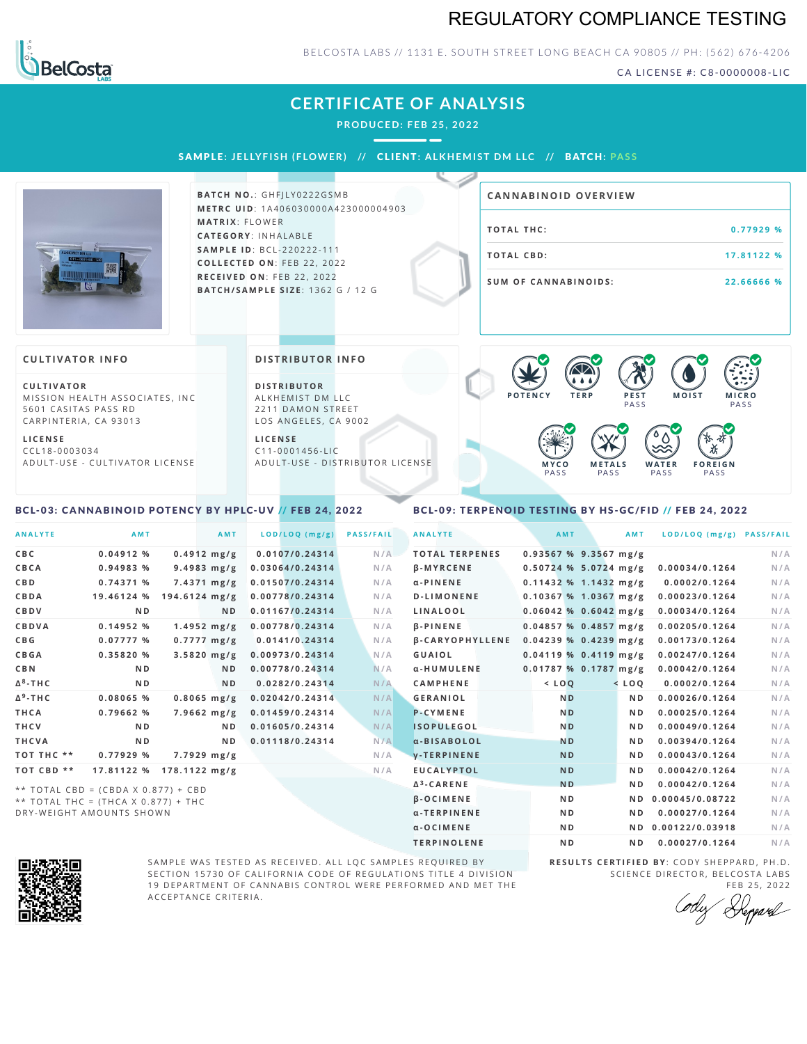### REGULATORY COMPLIANCE TESTING



### BELCOSTA LABS // 1131 E. SOUTH STREET LONG BEACH C A 90805 // PH: (562) 676-4206

CA LICENSE #: C8-0000008-LIC

| <b>CERTIFICATE OF ANALYSIS</b><br><b>PRODUCED: FEB 25, 2022</b><br>SAMPLE: JELLYFISH (FLOWER) // CLIENT: ALKHEMIST DM LLC // BATCH: PASS          |                                                                                                                                                                                                                                                                   |                                                                                                                                               |  |  |  |  |
|---------------------------------------------------------------------------------------------------------------------------------------------------|-------------------------------------------------------------------------------------------------------------------------------------------------------------------------------------------------------------------------------------------------------------------|-----------------------------------------------------------------------------------------------------------------------------------------------|--|--|--|--|
|                                                                                                                                                   | <b>BATCH NO.: GHFILY0222GSMB</b><br><b>METRC UID: 1A406030000A423000004903</b><br><b>MATRIX: FLOWER</b><br>CATEGORY: INHALABLE<br><b>SAMPLE ID: BCL-220222-111</b><br>COLLECTED ON: FEB 22, 2022<br>RECEIVED ON: FEB 22, 2022<br>BATCH/SAMPLE SIZE: 1362 G / 12 G | <b>CANNABINOID OVERVIEW</b><br><b>TOTAL THC:</b><br>0.77929 %<br><b>TOTAL CBD:</b><br>17.81122 %<br><b>SUM OF CANNABINOIDS:</b><br>22.66666 % |  |  |  |  |
| <b>CULTIVATOR INFO</b><br><b>CULTIVATOR</b><br>MISSION HEALTH ASSOCIATES, INC.<br>5601 CASITAS PASS RD<br>CARPINTERIA, CA 93013<br><b>LICENSE</b> | <b>DISTRIBUTOR INFO</b><br><b>DISTRIBUTOR</b><br>ALKHEMIST DM LLC<br>2211 DAMON STREET<br>LOS ANGELES, CA 9002<br><b>LICENSE</b>                                                                                                                                  | <b>POTENCY</b><br>PEST<br><b>MOIST</b><br><b>TERP</b><br><b>MICRO</b><br>PASS<br>PASS                                                         |  |  |  |  |
| $CCL18-0003034$<br>ADULT-USE - CULTIVATOR LICENSE                                                                                                 | $C11 - 0001456 - LIC$<br>ADULT-USE - DISTRIBUTOR LICENSE                                                                                                                                                                                                          | <b>METALS</b><br><b>FOREIGN</b><br>MYCO<br>WATER<br>PASS<br>PASS<br>PASS<br>PASS                                                              |  |  |  |  |

### <span id="page-0-0"></span>BCL-03: CANNABINOID POTENCY BY HPLC-UV // FEB 24, 2022

### <span id="page-0-1"></span>BCL-09: TERPENOID TESTING BY HS-GC/FID // FEB 24, 2022

| <b>ANALYTE</b>  | <b>AMT</b>                                                                 | AMT                     | LOD/LOQ (mg/g)  | <b>PASS/FAIL</b> | <b>ANALYTE</b>         | <b>AMT</b>              | <b>AMT</b>     | LOD/LOQ (mg/g) PASS/FAIL |     |
|-----------------|----------------------------------------------------------------------------|-------------------------|-----------------|------------------|------------------------|-------------------------|----------------|--------------------------|-----|
| C B C           | $0.04912$ %                                                                | $0.4912$ mg/g           | 0.0107/0.24314  | N/A              | <b>TOTAL TERPENES</b>  | $0.93567$ % 9.3567 mg/g |                |                          | N/A |
| <b>CBCA</b>     | 0.94983 %                                                                  | $9.4983$ mg/g           | 0.03064/0.24314 | N/A              | $\beta$ -MYRCENE       | $0.50724$ % 5.0724 mg/g |                | 0.00034/0.1264           | N/A |
| C B D           | 0.74371%                                                                   | $7.4371 \text{ mg/g}$   | 0.01507/0.24314 | N/A              | $\alpha$ -PINENE       | $0.11432$ % 1.1432 mg/g |                | 0.0002/0.1264            | N/A |
| CBDA            | 19.46124 %                                                                 | $194.6124$ mg/g         | 0.00778/0.24314 | N/A              | <b>D-LIMONENE</b>      | $0.10367$ % 1.0367 mg/g |                | 0.00023/0.1264           | N/A |
| CBDV            | N D                                                                        | ND.                     | 0.01167/0.24314 | N/A              | LINALOOL               | $0.06042$ % 0.6042 mg/g |                | 0.00034/0.1264           | N/A |
| CBDVA           | 0.14952%                                                                   | $1.4952 \; mg/g$        | 0.00778/0.24314 | N/A              | <b>B-PINENE</b>        | $0.04857$ % 0.4857 mg/g |                | 0.00205/0.1264           | N/A |
| C B G           | 0.07777%                                                                   | $0.7777 \, mg/g$        | 0.0141/0.24314  | N/A              | <b>B-CARYOPHYLLENE</b> | $0.04239$ % 0.4239 mg/g |                | 0.00173/0.1264           | N/A |
| <b>CBGA</b>     | 0.35820%                                                                   | $3.5820$ mg/g           | 0.00973/0.24314 | N/A              | GUAIOL                 | $0.04119$ % 0.4119 mg/g |                | 0.00247/0.1264           | N/A |
| <b>CBN</b>      | N D                                                                        | N <sub>D</sub>          | 0.00778/0.24314 | N/A              | α-HUMULENE             | 0.01787% 0.1787 mg/g    |                | 0.00042/0.1264           | N/A |
| $\Delta^8$ -THC | N <sub>D</sub>                                                             | ND.                     | 0.0282/0.24314  | N/A              | <b>CAMPHENE</b>        | $<$ LOQ                 | $<$ LOQ        | 0.0002/0.1264            | N/A |
| $\Delta^9$ -THC | 0.08065 %                                                                  | $0.8065$ mg/g           | 0.02042/0.24314 | N/A              | <b>GERANIOL</b>        | N <sub>D</sub>          | N <sub>D</sub> | 0.00026/0.1264           | N/A |
| THCA            | 0.79662%                                                                   | $7.9662 \, mg/g$        | 0.01459/0.24314 | N/A              | <b>P-CYMENE</b>        | N <sub>D</sub>          | N <sub>D</sub> | 0.00025/0.1264           | N/A |
| <b>THCV</b>     | N <sub>D</sub>                                                             | ND.                     | 0.01605/0.24314 | N/A              | <b>ISOPULEGOL</b>      | N <sub>D</sub>          | N <sub>D</sub> | 0.00049/0.1264           | N/A |
| THCVA           | N <sub>D</sub>                                                             | N D                     | 0.01118/0.24314 | N/A              | a-BISABOLOL            | <b>ND</b>               | N <sub>D</sub> | 0.00394/0.1264           | N/A |
| TOT THC **      | 0.77929 %                                                                  | $7.7929 \; mg/g$        |                 | N/A              | <b>V-TERPINENE</b>     | N <sub>D</sub>          | N <sub>D</sub> | 0.00043/0.1264           | N/A |
| TOT CBD **      | 17.81122 %                                                                 | $178.1122 \text{ mg/g}$ |                 | N/A              | <b>EUCALYPTOL</b>      | N <sub>D</sub>          | N <sub>D</sub> | 0.00042/0.1264           | N/A |
|                 |                                                                            |                         |                 |                  | $\Delta^3$ -CARENE     | <b>ND</b>               | N <sub>D</sub> | 0.00042/0.1264           | N/A |
|                 | ** TOTAL CBD = (CBDA X 0.877) + CBD<br>** TOTAL THC = (THCA X 0.877) + THC |                         |                 |                  | <b>B-OCIMENE</b>       | N <sub>D</sub>          |                | ND 0.00045/0.08722       | N/A |

\* \* T O T A L T H C = ( T H C A X 0 . 8 7 7 ) + T H C DRY-WEIGHT AMOUNTS SHOWN



SAMPLE WAS TESTED AS RECEIVED. ALL LQC SAMPLES REQUIRED BY SECTION 15730 OF CALIFORNIA CODE OF REGULATIONS TITLE 4 DIVISION 19 DEPARTMENT OF CANNABIS CONTROL WERE PERFORMED AND MET THE A C C E P T A N C E C R I T E R I A.

**R E S U L T S C E R T I F I E D BY** : C O D Y S H E P P A R D ,P H .D . SCIENCE DIRECTOR, BELCOSTA LABS

α-TERPINENE ND ND 0.00027/0.1264 N/A  $\alpha$ -OCIMENE ND ND ND 0.00122/0.03918 N/A TERPINOLENE ND ND 0.00027/0.1264 N/A

FEB 25, 2022<br>*Heppard*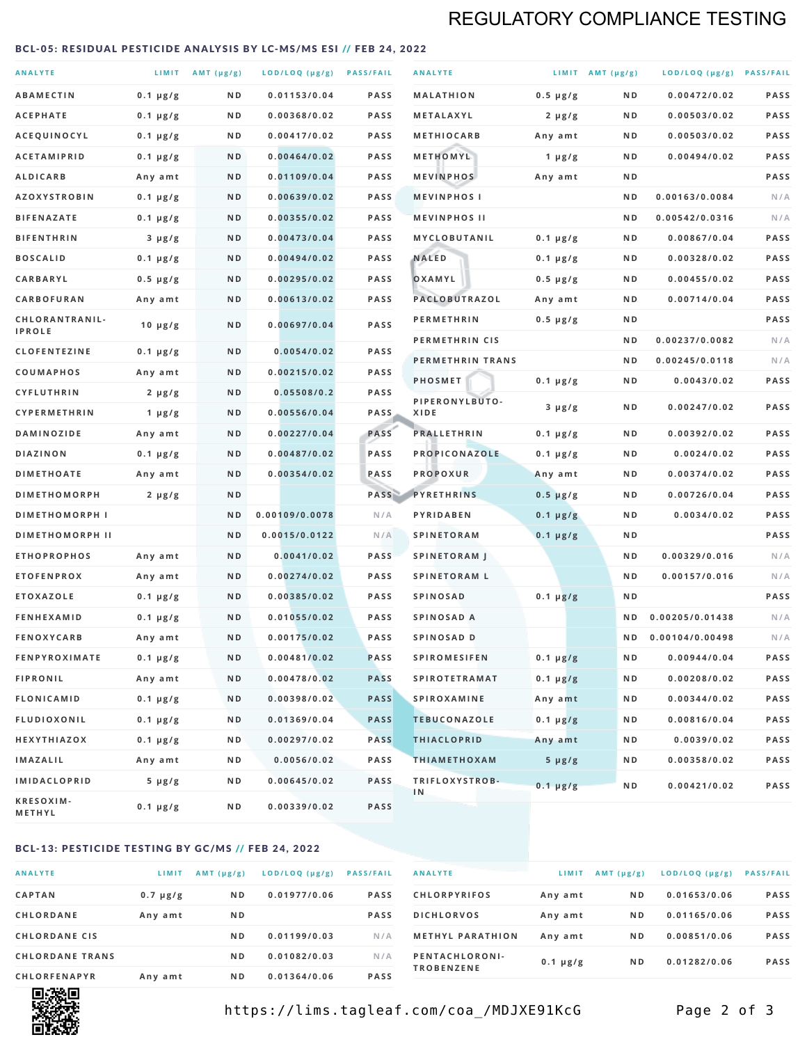### REGULATORY COMPLIANCE TESTING

#### <span id="page-1-0"></span>BCL-05: RESIDUAL PESTICIDE ANALYSIS BY LC-MS/MS ESI // FEB 24, 2022

| <b>ANALYTE</b>                  |                  | LIMIT $AMT (\mu g/g)$ | LOD/LOQ (µg/g) PASS/FAIL |             | <b>ANALYTE</b>         |               | LIMIT AMT $(\mu g/g)$ | LOD/LOQ (µg/g) PASS/FAIL |             |
|---------------------------------|------------------|-----------------------|--------------------------|-------------|------------------------|---------------|-----------------------|--------------------------|-------------|
| <b>ABAMECTIN</b>                | $0.1 \mu g/g$    | N D                   | 0.01153/0.04             | <b>PASS</b> | <b>MALATHION</b>       | $0.5 \mu g/g$ | N D                   | 0.00472/0.02             | <b>PASS</b> |
| <b>ACEPHATE</b>                 | $0.1 \mu g/g$    | N D                   | 0.00368/0.02             | PASS        | <b>METALAXYL</b>       | $2 \mu g/g$   | N D                   | 0.00503/0.02             | PASS        |
| ACEQUINOCYL                     | $0.1 \mu g/g$    | N D                   | 0.00417/0.02             | <b>PASS</b> | <b>METHIOCARB</b>      | Any amt       | N D                   | 0.00503/0.02             | PASS        |
| <b>ACETAMIPRID</b>              | $0.1 \mu g/g$    | N D                   | 0.00464/0.02             | <b>PASS</b> | METHOMYL               | 1 $\mu$ g/g   | N D                   | 0.00494/0.02             | PASS        |
| <b>ALDICARB</b>                 | Any amt          | N D                   | 0.01109/0.04             | <b>PASS</b> | <b>MEVINPHOS</b>       | Any amt       | N D                   |                          | PASS        |
| <b>AZOXYSTROBIN</b>             | $0.1 \mu g/g$    | N D                   | 0.00639/0.02             | PASS        | <b>MEVINPHOSI</b>      |               | N D                   | 0.00163/0.0084           | N/A         |
| <b>BIFENAZATE</b>               | $0.1 \mu g/g$    | N D                   | 0.00355/0.02             | <b>PASS</b> | <b>MEVINPHOS II</b>    |               | N D                   | 0.00542/0.0316           | N/A         |
| <b>BIFENTHRIN</b>               | $3 \mu g/g$      | N D                   | 0.00473/0.04             | <b>PASS</b> | MYCLOBUTANIL           | $0.1 \mu g/g$ | N D                   | 0.00867/0.04             | PASS        |
| <b>BOSCALID</b>                 | $0.1 \mu g/g$    | N D                   | 0.00494/0.02             | <b>PASS</b> | <b>NALED</b>           | $0.1 \mu g/g$ | N D                   | 0.00328/0.02             | PASS        |
| CARBARYL                        | $0.5 \mu g/g$    | N D                   | 0.00295/0.02             | PASS        | OXAMYL                 | $0.5 \mu g/g$ | N D                   | 0.00455/0.02             | PASS        |
| CARBOFURAN                      | Any amt          | N D                   | 0.00613/0.02             | <b>PASS</b> | PACLOBUTRAZOL          | Any amt       | N D                   | 0.00714/0.04             | PASS        |
| CHLORANTRANIL-<br><b>IPROLE</b> | $10 \mu g/g$     | N D                   | 0.00697/0.04             | PASS        | <b>PERMETHRIN</b>      | $0.5 \mu g/g$ | N D                   |                          | PASS        |
| <b>CLOFENTEZINE</b>             | $0.1 \mu g/g$    | N D                   | 0.0054/0.02              | <b>PASS</b> | PERMETHRIN CIS         |               | N D                   | 0.00237/0.0082           | N/A         |
| <b>COUMAPHOS</b>                | Any amt          | N D                   | 0.00215/0.02             | <b>PASS</b> | PERMETHRIN TRANS       |               | N D                   | 0.00245/0.0118           | N/A         |
| <b>CYFLUTHRIN</b>               | $2 \mu g/g$      | N D                   | 0.05508/0.2              | <b>PASS</b> | <b>PHOSMET</b>         | $0.1 \mu g/g$ | N D                   | 0.0043/0.02              | PASS        |
| <b>CYPERMETHRIN</b>             | $1 \mu g/g$      | ND                    | 0.00556/0.04             | <b>PASS</b> | PIPERONYLBUTO-<br>XIDE | $3 \mu g/g$   | N D                   | 0.00247/0.02             | PASS        |
| <b>DAMINOZIDE</b>               | Any amt          | N D                   | 0.00227/0.04             | PASS        | <b>PRALLETHRIN</b>     | $0.1 \mu g/g$ | N D                   | 0.00392/0.02             | PASS        |
| DIAZINON                        | $0.1 \mu g/g$    | N D                   | 0.00487/0.02             | PASS        | PROPICONAZOLE          | $0.1 \mu g/g$ | N D                   | 0.0024/0.02              | PASS        |
| <b>DIMETHOATE</b>               | Any amt          | N D                   | 0.00354/0.02             | PASS        | <b>PROPOXUR</b>        | Any amt       | N D                   | 0.00374/0.02             | PASS        |
| <b>DIMETHOMORPH</b>             | $2 \mu g/g$      | N D                   |                          | PASS        | <b>PYRETHRINS</b>      | $0.5 \mu g/g$ | N D                   | 0.00726/0.04             | PASS        |
| <b>DIMETHOMORPH I</b>           |                  | N D                   | 0.00109/0.0078           | N/A         | PYRIDABEN              | $0.1 \mu g/g$ | N D                   | 0.0034/0.02              | PASS        |
| <b>DIMETHOMORPH II</b>          |                  | ND                    | 0.0015/0.0122            | N/A         | <b>SPINETORAM</b>      | $0.1 \mu g/g$ | N D                   |                          | PASS        |
| <b>ETHOPROPHOS</b>              | Any amt          | N D                   | 0.0041/0.02              | <b>PASS</b> | <b>SPINETORAM J</b>    |               | N D                   | 0.00329/0.016            | N/A         |
| <b>ETOFENPROX</b>               | Any amt          | N D                   | 0.00274/0.02             | PASS        | <b>SPINETORAM L</b>    |               | N D                   | 0.00157/0.016            | N/A         |
| <b>ETOXAZOLE</b>                | $0.1 \mu g/g$    | N D                   | 0.00385/0.02             | <b>PASS</b> | <b>SPINOSAD</b>        | $0.1 \mu g/g$ | N D                   |                          | PASS        |
| <b>FENHEXAMID</b>               | $0.1 \mu g/g$    | N D                   | 0.01055/0.02             | <b>PASS</b> | SPINOSAD A             |               | N D                   | 0.00205/0.01438          | N/A         |
| <b>FENOXYCARB</b>               | Any amt          | N D                   | 0.00175/0.02             | <b>PASS</b> | SPINOSAD D             |               | N D                   | 0.00104/0.00498          | N/A         |
| <b>FENPYROXIMATE</b>            | $0.1 \mu g/g$    | N D                   | 0.00481/0.02             | PASS        | <b>SPIROMESIFEN</b>    | $0.1 \mu g/g$ | N D                   | 0.00944/0.04             | PASS        |
| <b>FIPRONIL</b>                 | Any amt          | N D                   | 0.00478/0.02             | <b>PASS</b> | <b>SPIROTETRAMAT</b>   | $0.1 \mu g/g$ | N D                   | 0.00208/0.02             | PASS        |
| FLONICAMID                      | $0.1 \mu g/g$    | N D                   | 0.00398/0.02             | <b>PASS</b> | <b>SPIROXAMINE</b>     | Any amt       | N D                   | 0.00344/0.02             | PASS        |
| <b>FLUDIOXONIL</b>              | $0.1 \mu g/g$    | N D                   | 0.01369/0.04             | <b>PASS</b> | <b>TEBUCONAZOLE</b>    | $0.1 \mu g/g$ | N D                   | 0.00816/0.04             | PASS        |
| HEXYTHIAZOX                     | $0.1 \, \mu g/g$ | N D                   | 0.00297/0.02             | <b>PASS</b> | <b>THIACLOPRID</b>     | Any amt       | N D                   | 0.0039/0.02              | PASS        |
| <b>IMAZALIL</b>                 | Any amt          | N D                   | 0.0056/0.02              | PASS        | <b>THIAMETHOXAM</b>    | $5 \mu g/g$   | N D                   | 0.00358/0.02             | PASS        |
| <b>IMIDACLOPRID</b>             | $5 \mu g/g$      | N D                   | 0.00645/0.02             | <b>PASS</b> | TRIFLOXYSTROB-         | $0.1 \mu g/g$ | N D                   | 0.00421/0.02             | PASS        |
| KRESOXIM-<br><b>METHYL</b>      | $0.1 \mu g/g$    | N D                   | 0.00339/0.02             | <b>PASS</b> | 1N                     |               |                       |                          |             |

### BCL-13: PESTICIDE TESTING BY GC/MS // FEB 24, 2022

| <b>ANALYTE</b>         | LIMIT         | $AMT$ ( $\mu g/g$ ) | $LOD/LOQ$ ( $\mu g/g$ ) | <b>PASS/FAIL</b> |
|------------------------|---------------|---------------------|-------------------------|------------------|
| <b>CAPTAN</b>          | $0.7 \mu g/g$ | N <sub>D</sub>      | 0.01977/0.06            | <b>PASS</b>      |
| CHLORDANE              | Any amt       | N <sub>D</sub>      |                         | <b>PASS</b>      |
| <b>CHLORDANE CIS</b>   |               | N <sub>D</sub>      | 0.01199/0.03            | N/A              |
| <b>CHLORDANE TRANS</b> |               | N <sub>D</sub>      | 0.01082/0.03            | N/A              |
| <b>CHLORFENAPYR</b>    | Any amt       | N <sub>D</sub>      | 0.01364/0.06            | <b>PASS</b>      |

| <b>ANALYTE</b>                      | LIMIT         | $AMT (\mu g/g)$ | LOD/LOQ (µg/g) | <b>PASS/FAIL</b> |
|-------------------------------------|---------------|-----------------|----------------|------------------|
| <b>CHLORPYRIFOS</b>                 | Any amt       | N <sub>D</sub>  | 0.01653/0.06   | <b>PASS</b>      |
| <b>DICHLORVOS</b>                   | Any amt       | N <sub>D</sub>  | 0.01165/0.06   | <b>PASS</b>      |
| <b>METHYL PARATHION</b>             | Any amt       | N <sub>D</sub>  | 0.00851/0.06   | <b>PASS</b>      |
| PENTACHLORONI-<br><b>TROBENZENE</b> | $0.1 \mu g/g$ | N <sub>D</sub>  | 0.01282/0.06   | <b>PASS</b>      |